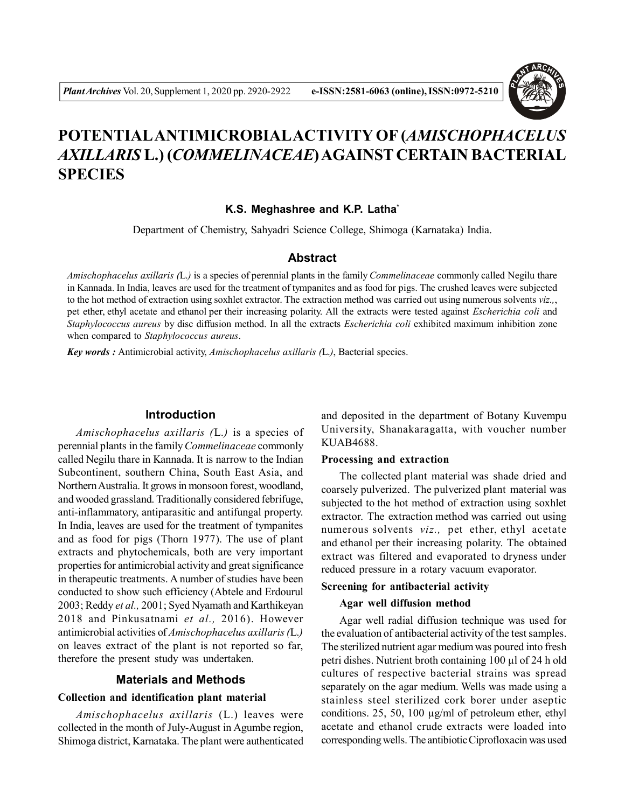

# **POTENTIALANTIMICROBIALACTIVITY OF (***AMISCHOPHACELUS AXILLARIS* **L.) (***COMMELINACEAE***) AGAINST CERTAIN BACTERIAL SPECIES**

#### **K.S. Meghashree and K.P. Latha\***

Department of Chemistry, Sahyadri Science College, Shimoga (Karnataka) India.

#### **Abstract**

*Amischophacelus axillaris (*L.*)* is a species of perennial plants in the family *Commelinaceae* commonly called Negilu thare in Kannada. In India, leaves are used for the treatment of tympanites and as food for pigs. The crushed leaves were subjected to the hot method of extraction using soxhlet extractor. The extraction method was carried out using numerous solvents *viz.,*, pet ether, ethyl acetate and ethanol per their increasing polarity. All the extracts were tested against *Escherichia coli* and *Staphylococcus aureus* by disc diffusion method. In all the extracts *Escherichia coli* exhibited maximum inhibition zone when compared to *Staphylococcus aureus*.

*Key words :* Antimicrobial activity, *Amischophacelus axillaris (*L.*)*, Bacterial species.

#### **Introduction**

*Amischophacelus axillaris (*L.*)* is a species of perennial plants in the family *Commelinaceae* commonly called Negilu thare in Kannada. It is narrow to the Indian Subcontinent, southern China, South East Asia, and Northern Australia. It grows in monsoon forest, woodland, and wooded grassland. Traditionally considered febrifuge, anti-inflammatory, antiparasitic and antifungal property. In India, leaves are used for the treatment of tympanites and as food for pigs (Thorn 1977). The use of plant extracts and phytochemicals, both are very important properties for antimicrobial activity and great significance in therapeutic treatments. A number of studies have been conducted to show such efficiency (Abtele and Erdourul 2003; Reddy *et al.,* 2001; Syed Nyamath and Karthikeyan 2018 and Pinkusatnami *et al.,* 2016). However antimicrobial activities of *Amischophacelus axillaris (*L.*)* on leaves extract of the plant is not reported so far, therefore the present study was undertaken.

#### **Materials and Methods**

#### **Collection and identification plant material**

*Amischophacelus axillaris* (L.) leaves were collected in the month of July-August in Agumbe region, Shimoga district, Karnataka. The plant were authenticated and deposited in the department of Botany Kuvempu University, Shanakaragatta, with voucher number KUAB4688.

#### **Processing and extraction**

The collected plant material was shade dried and coarsely pulverized. The pulverized plant material was subjected to the hot method of extraction using soxhlet extractor. The extraction method was carried out using numerous solvents *viz.,* pet ether, ethyl acetate and ethanol per their increasing polarity. The obtained extract was filtered and evaporated to dryness under reduced pressure in a rotary vacuum evaporator.

#### **Screening for antibacterial activity**

#### **Agar well diffusion method**

Agar well radial diffusion technique was used for the evaluation of antibacterial activity of the test samples. The sterilized nutrient agar medium was poured into fresh petri dishes. Nutrient broth containing 100 µl of 24 h old cultures of respective bacterial strains was spread separately on the agar medium. Wells was made using a stainless steel sterilized cork borer under aseptic conditions. 25, 50, 100 µg/ml of petroleum ether, ethyl acetate and ethanol crude extracts were loaded into corresponding wells. The antibiotic Ciprofloxacin was used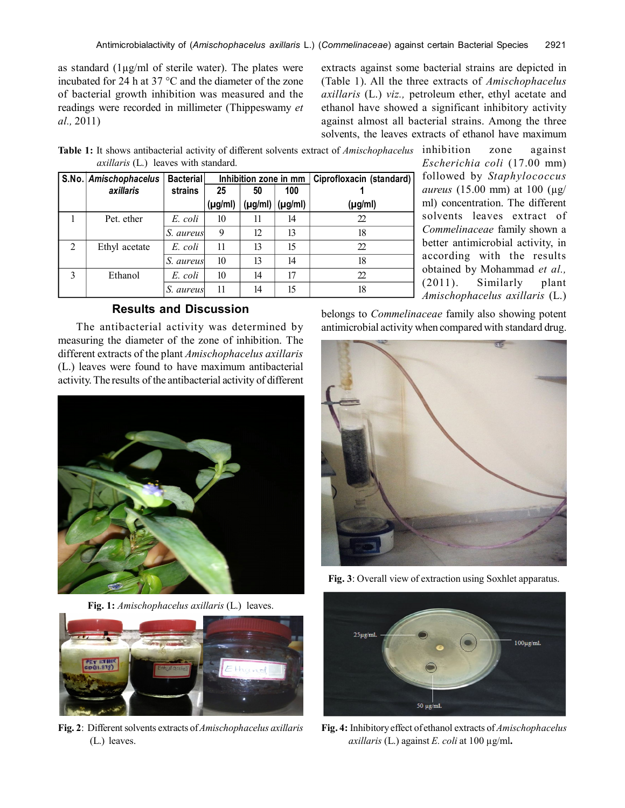as standard  $(1\mu g/ml)$  of sterile water). The plates were incubated for 24 h at 37 °C and the diameter of the zone of bacterial growth inhibition was measured and the readings were recorded in millimeter (Thippeswamy *et al.,* 2011)

extracts against some bacterial strains are depicted in (Table 1). All the three extracts of *Amischophacelus axillaris* (L.) *viz.,* petroleum ether, ethyl acetate and ethanol have showed a significant inhibitory activity against almost all bacterial strains. Among the three solvents, the leaves extracts of ethanol have maximum

**Table 1:** It shows antibacterial activity of different solvents extract of *Amischophacelus* inhibition zone against *axillaris* (L.) leaves with standard.

|                | S.No. Amischophacelus | <b>Bacterial</b> | Inhibition zone in mm |              |         | Ciprofloxacin (standard) |
|----------------|-----------------------|------------------|-----------------------|--------------|---------|--------------------------|
|                | axillaris             | strains          | 25                    | 50           | 100     |                          |
|                |                       |                  | $(\mu g/ml)$          | $(\mu g/ml)$ | (µg/ml) | $(\mu g/ml)$             |
|                | Pet. ether            | E. coli          | 10                    | 11           | 14      | 22                       |
|                |                       | S.<br>aureus     | 9                     | 12           | 13      | 18                       |
| $\mathfrak{D}$ | Ethyl acetate         | E. coli          | 11                    | 13           | 15      | 22                       |
|                |                       | S.<br>aureus     | 10                    | 13           | 14      | 18                       |
| 3              | Ethanol               | E. coli          | 10                    | 14           | 17      | 22                       |
|                |                       | S.<br>aureus     | 11                    | 14           | 15      | 18                       |

*Escherichia coli* (17.00 mm) followed by *Staphylococcus aureus* (15.00 mm) at 100 (µg/ ml) concentration. The different solvents leaves extract of *Commelinaceae* family shown a better antimicrobial activity, in according with the results obtained by Mohammad *et al.,* (2011). Similarly plant *Amischophacelus axillaris* (L.)

# **Results and Discussion**

The antibacterial activity was determined by measuring the diameter of the zone of inhibition. The different extracts of the plant *Amischophacelus axillaris* (L.) leaves were found to have maximum antibacterial activity. The results of the antibacterial activity of different



**Fig. 1:** *Amischophacelus axillaris* (L.) leaves.



**Fig. 2**: Different solvents extracts of *Amischophacelus axillaris* (L.) leaves.

belongs to *Commelinaceae* family also showing potent antimicrobial activity when compared with standard drug.



**Fig. 3**: Overall view of extraction using Soxhlet apparatus.



**Fig. 4:** Inhibitory effect of ethanol extracts of *Amischophacelus axillaris* (L.) against *E. coli* at 100 µg/ml**.**